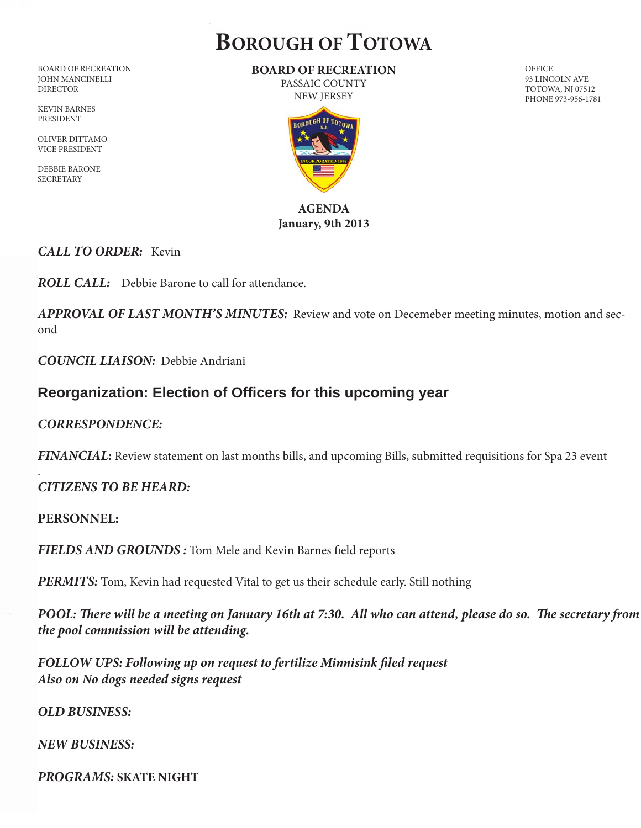# **BOROUGH OF TOTOWA**

BOARD OF RECREATION JOHN MANCINELLI DIRECTOR

KEVIN BARNES PRESIDENT

OLIVER DITTAMO VICE PRESIDENT

DEBBIE BARONE SECRETARY

#### **BOARD OF RECREATION** PASSAIC COUNTY

NEW JERSEY

## **AGENDA January, 9th 2013**

#### *CALL TO ORDER:* Kevin

*ROLL CALL:* Debbie Barone to call for attendance.

*APPROVAL OF LAST MONTH'S MINUTES:* Review and vote on Decemeber meeting minutes, motion and second

*COUNCIL LIAISON:* Debbie Andriani

# **Reorganization: Election of Officers for this upcoming year**

### *CORRESPONDENCE:*

*FINANCIAL:* Review statement on last months bills, and upcoming Bills, submitted requisitions for Spa 23 event

### *CITIZENS TO BE HEARD:*

#### **PERSONNEL:**

.

*FIELDS AND GROUNDS :* Tom Mele and Kevin Barnes field reports

*PERMITS:* Tom, Kevin had requested Vital to get us their schedule early. Still nothing

*POOL: There will be a meeting on January 16th at 7:30. All who can attend, please do so. The secretary from the pool commission will be attending.* 

*FOLLOW UPS: Following up on request to fertilize Minnisink filed request Also on No dogs needed signs request*

*OLD BUSINESS:*

#### *NEW BUSINESS:*

*PROGRAMS:* **SKATE NIGHT**

**OFFICE** 93 LINCOLN AVE TOTOWA, NJ 07512 PHONE 973-956-1781